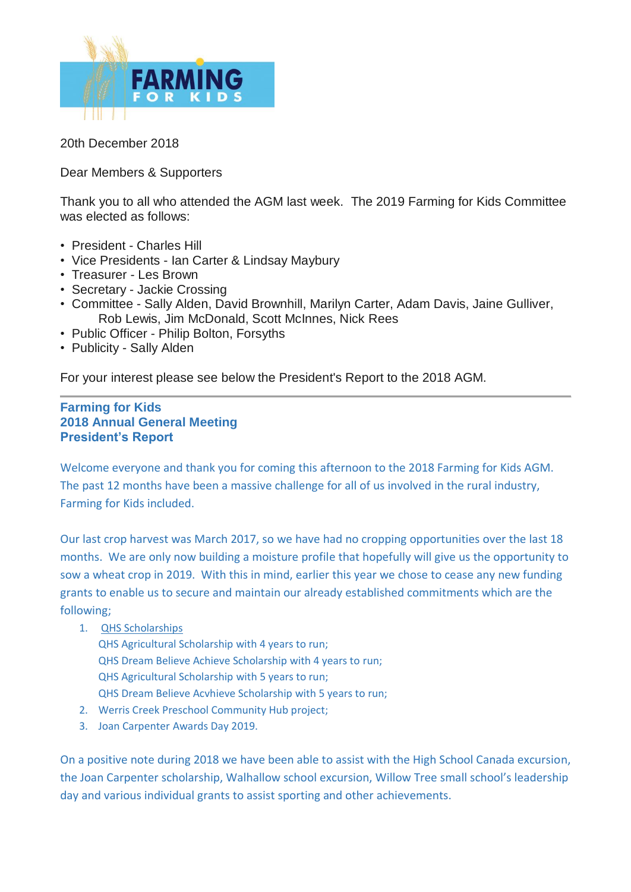

20th December 2018

Dear Members & Supporters

Thank you to all who attended the AGM last week. The 2019 Farming for Kids Committee was elected as follows:

- President Charles Hill
- Vice Presidents Ian Carter & Lindsay Maybury
- Treasurer Les Brown
- Secretary Jackie Crossing
- Committee Sally Alden, David Brownhill, Marilyn Carter, Adam Davis, Jaine Gulliver, Rob Lewis, Jim McDonald, Scott McInnes, Nick Rees
- Public Officer Philip Bolton, Forsyths
- Publicity Sally Alden

For your interest please see below the President's Report to the 2018 AGM.

## **Farming for Kids 2018 Annual General Meeting President's Report**

Welcome everyone and thank you for coming this afternoon to the 2018 Farming for Kids AGM. The past 12 months have been a massive challenge for all of us involved in the rural industry, Farming for Kids included.

Our last crop harvest was March 2017, so we have had no cropping opportunities over the last 18 months. We are only now building a moisture profile that hopefully will give us the opportunity to sow a wheat crop in 2019. With this in mind, earlier this year we chose to cease any new funding grants to enable us to secure and maintain our already established commitments which are the following;

- 1. QHS Scholarships
	- QHS Agricultural Scholarship with 4 years to run; QHS Dream Believe Achieve Scholarship with 4 years to run; QHS Agricultural Scholarship with 5 years to run; QHS Dream Believe Acvhieve Scholarship with 5 years to run;
- 2. Werris Creek Preschool Community Hub project;
- 3. Joan Carpenter Awards Day 2019.

On a positive note during 2018 we have been able to assist with the High School Canada excursion, the Joan Carpenter scholarship, Walhallow school excursion, Willow Tree small school's leadership day and various individual grants to assist sporting and other achievements.